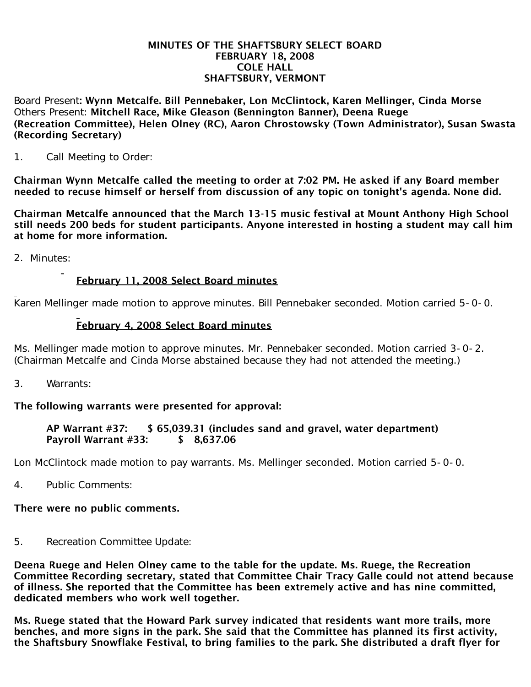#### MINUTES OF THE SHAFTSBURY SELECT BOARD FEBRUARY 18, 2008 COLE HALL SHAFTSBURY, VERMONT

Board Present: Wynn Metcalfe. Bill Pennebaker, Lon McClintock, Karen Mellinger, Cinda Morse Others Present: Mitchell Race, Mike Gleason (Bennington Banner), Deena Ruege (Recreation Committee), Helen Olney (RC), Aaron Chrostowsky (Town Administrator), Susan Swasta (Recording Secretary)

1. Call Meeting to Order:

Chairman Wynn Metcalfe called the meeting to order at 7:02 PM. He asked if any Board member needed to recuse himself or herself from discussion of any topic on tonight's agenda. None did.

Chairman Metcalfe announced that the March 13-15 music festival at Mount Anthony High School still needs 200 beds for student participants. Anyone interested in hosting a student may call him at home for more information.

2. Minutes:

## February 11, 2008 Select Board minutes

Karen Mellinger made motion to approve minutes. Bill Pennebaker seconded. Motion carried 5-0-0.

## February 4, 2008 Select Board minutes

Ms. Mellinger made motion to approve minutes. Mr. Pennebaker seconded. Motion carried 3-0-2. (Chairman Metcalfe and Cinda Morse abstained because they had not attended the meeting.)

3. Warrants:

## The following warrants were presented for approval:

#### AP Warrant #37: \$ 65,039.31 (includes sand and gravel, water department) Payroll Warrant #33: \$ 8.637.06

Lon McClintock made motion to pay warrants. Ms. Mellinger seconded. Motion carried 5-0-0.

4. Public Comments:

# There were no public comments.

5. Recreation Committee Update:

Deena Ruege and Helen Olney came to the table for the update. Ms. Ruege, the Recreation Committee Recording secretary, stated that Committee Chair Tracy Galle could not attend because of illness. She reported that the Committee has been extremely active and has nine committed, dedicated members who work well together.

Ms. Ruege stated that the Howard Park survey indicated that residents want more trails, more benches, and more signs in the park. She said that the Committee has planned its first activity, the Shaftsbury Snowflake Festival, to bring families to the park. She distributed a draft flyer for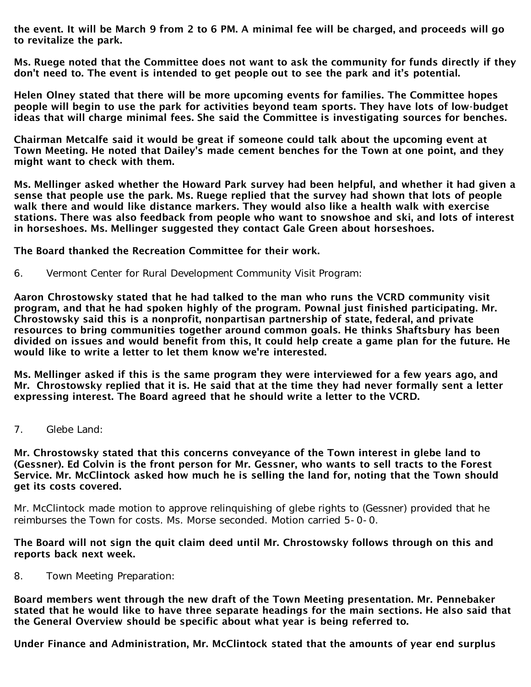the event. It will be March 9 from 2 to 6 PM. A minimal fee will be charged, and proceeds will go to revitalize the park.

Ms. Ruege noted that the Committee does not want to ask the community for funds directly if they don't need to. The event is intended to get people out to see the park and it's potential.

Helen Olney stated that there will be more upcoming events for families. The Committee hopes people will begin to use the park for activities beyond team sports. They have lots of low-budget ideas that will charge minimal fees. She said the Committee is investigating sources for benches.

Chairman Metcalfe said it would be great if someone could talk about the upcoming event at Town Meeting. He noted that Dailey's made cement benches for the Town at one point, and they might want to check with them.

Ms. Mellinger asked whether the Howard Park survey had been helpful, and whether it had given a sense that people use the park. Ms. Ruege replied that the survey had shown that lots of people walk there and would like distance markers. They would also like a health walk with exercise stations. There was also feedback from people who want to snowshoe and ski, and lots of interest in horseshoes. Ms. Mellinger suggested they contact Gale Green about horseshoes.

The Board thanked the Recreation Committee for their work.

6. Vermont Center for Rural Development Community Visit Program:

Aaron Chrostowsky stated that he had talked to the man who runs the VCRD community visit program, and that he had spoken highly of the program. Pownal just finished participating. Mr. Chrostowsky said this is a nonprofit, nonpartisan partnership of state, federal, and private resources to bring communities together around common goals. He thinks Shaftsbury has been divided on issues and would benefit from this, It could help create a game plan for the future. He would like to write a letter to let them know we're interested.

Ms. Mellinger asked if this is the same program they were interviewed for a few years ago, and Mr. Chrostowsky replied that it is. He said that at the time they had never formally sent a letter expressing interest. The Board agreed that he should write a letter to the VCRD.

7. Glebe Land:

Mr. Chrostowsky stated that this concerns conveyance of the Town interest in glebe land to (Gessner). Ed Colvin is the front person for Mr. Gessner, who wants to sell tracts to the Forest Service. Mr. McClintock asked how much he is selling the land for, noting that the Town should get its costs covered.

Mr. McClintock made motion to approve relinquishing of glebe rights to (Gessner) provided that he reimburses the Town for costs. Ms. Morse seconded. Motion carried 5-0-0.

The Board will not sign the quit claim deed until Mr. Chrostowsky follows through on this and reports back next week.

8. Town Meeting Preparation:

Board members went through the new draft of the Town Meeting presentation. Mr. Pennebaker stated that he would like to have three separate headings for the main sections. He also said that the General Overview should be specific about what year is being referred to.

Under Finance and Administration, Mr. McClintock stated that the amounts of year end surplus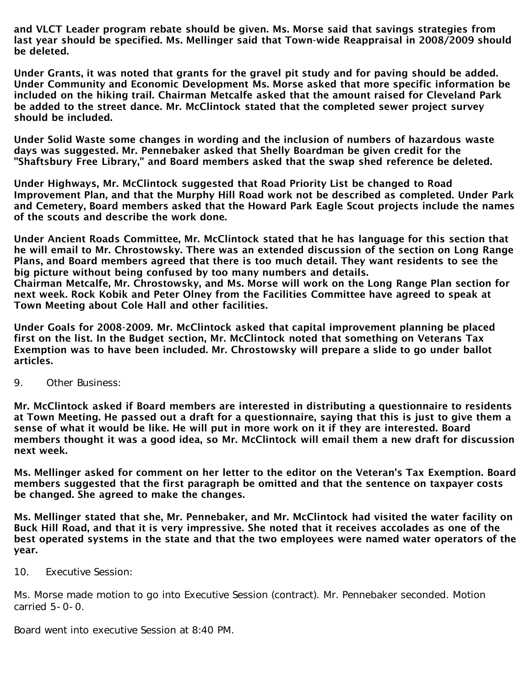and VLCT Leader program rebate should be given. Ms. Morse said that savings strategies from last year should be specified. Ms. Mellinger said that Town-wide Reappraisal in 2008/2009 should be deleted.

Under Grants, it was noted that grants for the gravel pit study and for paving should be added. Under Community and Economic Development Ms. Morse asked that more specific information be included on the hiking trail. Chairman Metcalfe asked that the amount raised for Cleveland Park be added to the street dance. Mr. McClintock stated that the completed sewer project survey should be included.

Under Solid Waste some changes in wording and the inclusion of numbers of hazardous waste days was suggested. Mr. Pennebaker asked that Shelly Boardman be given credit for the "Shaftsbury Free Library," and Board members asked that the swap shed reference be deleted.

Under Highways, Mr. McClintock suggested that Road Priority List be changed to Road Improvement Plan, and that the Murphy Hill Road work not be described as completed. Under Park and Cemetery, Board members asked that the Howard Park Eagle Scout projects include the names of the scouts and describe the work done.

Under Ancient Roads Committee, Mr. McClintock stated that he has language for this section that he will email to Mr. Chrostowsky. There was an extended discussion of the section on Long Range Plans, and Board members agreed that there is too much detail. They want residents to see the big picture without being confused by too many numbers and details. Chairman Metcalfe, Mr. Chrostowsky, and Ms. Morse will work on the Long Range Plan section for next week. Rock Kobik and Peter Olney from the Facilities Committee have agreed to speak at Town Meeting about Cole Hall and other facilities.

Under Goals for 2008-2009. Mr. McClintock asked that capital improvement planning be placed first on the list. In the Budget section, Mr. McClintock noted that something on Veterans Tax Exemption was to have been included. Mr. Chrostowsky will prepare a slide to go under ballot articles.

9. Other Business:

Mr. McClintock asked if Board members are interested in distributing a questionnaire to residents at Town Meeting. He passed out a draft for a questionnaire, saying that this is just to give them a sense of what it would be like. He will put in more work on it if they are interested. Board members thought it was a good idea, so Mr. McClintock will email them a new draft for discussion next week.

Ms. Mellinger asked for comment on her letter to the editor on the Veteran's Tax Exemption. Board members suggested that the first paragraph be omitted and that the sentence on taxpayer costs be changed. She agreed to make the changes.

Ms. Mellinger stated that she, Mr. Pennebaker, and Mr. McClintock had visited the water facility on Buck Hill Road, and that it is very impressive. She noted that it receives accolades as one of the best operated systems in the state and that the two employees were named water operators of the year.

10. Executive Session:

Ms. Morse made motion to go into Executive Session (contract). Mr. Pennebaker seconded. Motion carried 5-0-0.

Board went into executive Session at 8:40 PM.